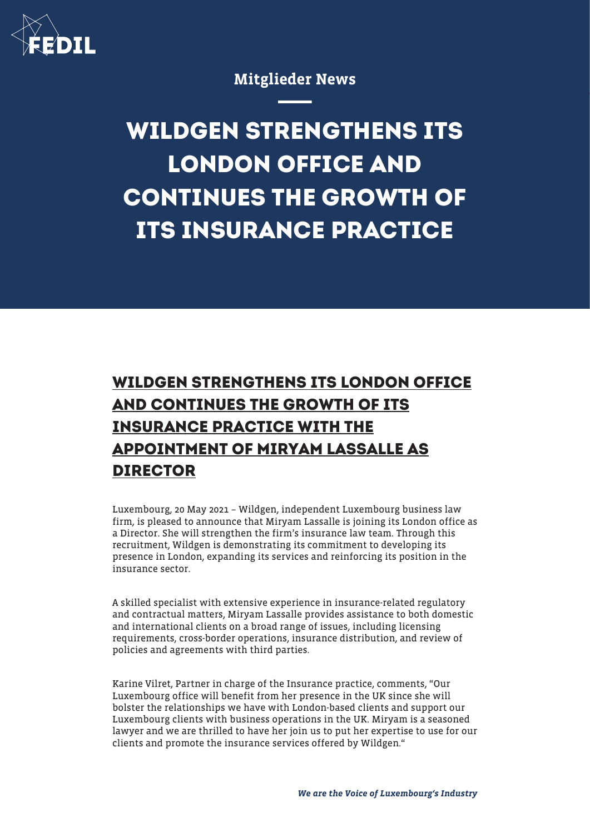

Mitglieder News

## **WILDGEN STRENGTHENS ITS LONDON OFFICE AND CONTINUES THE GROWTH OF ITS INSURANCE PRACTICE**

## **WILDGEN STRENGTHENS ITS LONDON OFFICE AND CONTINUES THE GROWTH OF ITS INSURANCE PRACTICE WITH THE APPOINTMENT OF MIRYAM LASSALLE AS DIRECTOR**

Luxembourg, 20 May 2021 – Wildgen, independent Luxembourg business law firm, is pleased to announce that Miryam Lassalle is joining its London office as a Director. She will strengthen the firm's insurance law team. Through this recruitment, Wildgen is demonstrating its commitment to developing its presence in London, expanding its services and reinforcing its position in the insurance sector.

A skilled specialist with extensive experience in insurance-related regulatory and contractual matters, Miryam Lassalle provides assistance to both domestic and international clients on a broad range of issues, including licensing requirements, cross-border operations, insurance distribution, and review of policies and agreements with third parties.

Karine Vilret, Partner in charge of the Insurance practice, comments, "Our Luxembourg office will benefit from her presence in the UK since she will bolster the relationships we have with London-based clients and support our Luxembourg clients with business operations in the UK. Miryam is a seasoned lawyer and we are thrilled to have her join us to put her expertise to use for our clients and promote the insurance services offered by Wildgen."